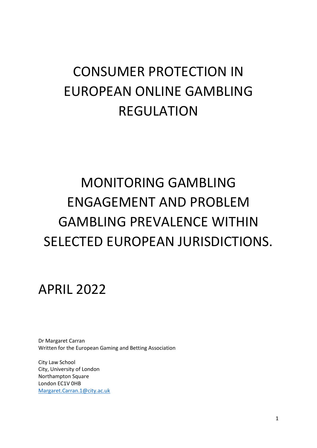# CONSUMER PROTECTION IN EUROPEAN ONLINE GAMBLING REGULATION

# MONITORING GAMBLING ENGAGEMENT AND PROBLEM GAMBLING PREVALENCE WITHIN SELECTED EUROPEAN JURISDICTIONS.

APRIL 2022

Dr Margaret Carran Written for the European Gaming and Betting Association

City Law School City, University of London Northampton Square London EC1V 0HB [Margaret.Carran.1@city.ac.uk](mailto:Margaret.Carran.1@city.ac.uk)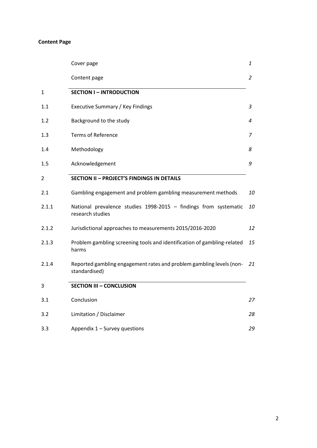# **Content Page**

|         | Cover page                                                                            | 1  |
|---------|---------------------------------------------------------------------------------------|----|
|         | Content page                                                                          | 2  |
| 1       | <b>SECTION I - INTRODUCTION</b>                                                       |    |
| 1.1     | Executive Summary / Key Findings                                                      | 3  |
| 1.2     | Background to the study                                                               | 4  |
| $1.3\,$ | <b>Terms of Reference</b>                                                             | 7  |
| 1.4     | Methodology                                                                           | 8  |
| 1.5     | Acknowledgement                                                                       | 9  |
| 2       | <b>SECTION II - PROJECT'S FINDINGS IN DETAILS</b>                                     |    |
| 2.1     | Gambling engagement and problem gambling measurement methods                          | 10 |
| 2.1.1   | National prevalence studies 1998-2015 - findings from systematic<br>research studies  | 10 |
| 2.1.2   | Jurisdictional approaches to measurements 2015/2016-2020                              | 12 |
| 2.1.3   | Problem gambling screening tools and identification of gambling-related<br>harms      | 15 |
| 2.1.4   | Reported gambling engagement rates and problem gambling levels (non-<br>standardised) | 21 |
| 3       | <b>SECTION III - CONCLUSION</b>                                                       |    |
| 3.1     | Conclusion                                                                            | 27 |
| 3.2     | Limitation / Disclaimer                                                               | 28 |
| 3.3     | Appendix 1 - Survey questions                                                         | 29 |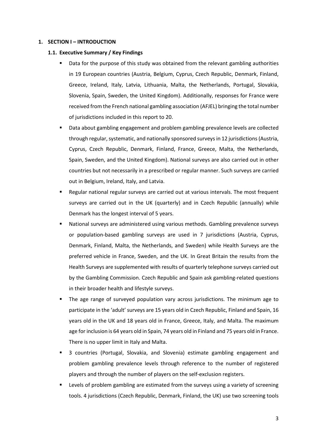#### **1. SECTION I – INTRODUCTION**

## **1.1. Executive Summary / Key Findings**

- Data for the purpose of this study was obtained from the relevant gambling authorities in 19 European countries (Austria, Belgium, Cyprus, Czech Republic, Denmark, Finland, Greece, Ireland, Italy, Latvia, Lithuania, Malta, the Netherlands, Portugal, Slovakia, Slovenia, Spain, Sweden, the United Kingdom). Additionally, responses for France were received from the French national gambling association (AFJEL) bringing the total number of jurisdictions included in this report to 20.
- Data about gambling engagement and problem gambling prevalence levels are collected through regular, systematic, and nationally sponsored surveys in 12 jurisdictions (Austria, Cyprus, Czech Republic, Denmark, Finland, France, Greece, Malta, the Netherlands, Spain, Sweden, and the United Kingdom). National surveys are also carried out in other countries but not necessarily in a prescribed or regular manner. Such surveys are carried out in Belgium, Ireland, Italy, and Latvia.
- Regular national regular surveys are carried out at various intervals. The most frequent surveys are carried out in the UK (quarterly) and in Czech Republic (annually) while Denmark has the longest interval of 5 years.
- National surveys are administered using various methods. Gambling prevalence surveys or population-based gambling surveys are used in 7 jurisdictions (Austria, Cyprus, Denmark, Finland, Malta, the Netherlands, and Sweden) while Health Surveys are the preferred vehicle in France, Sweden, and the UK. In Great Britain the results from the Health Surveys are supplemented with results of quarterly telephone surveys carried out by the Gambling Commission. Czech Republic and Spain ask gambling-related questions in their broader health and lifestyle surveys.
- The age range of surveyed population vary across jurisdictions. The minimum age to participate in the 'adult' surveys are 15 years old in Czech Republic, Finland and Spain, 16 years old in the UK and 18 years old in France, Greece, Italy, and Malta. The maximum age for inclusion is 64 years old in Spain, 74 years old in Finland and 75 years old in France. There is no upper limit in Italy and Malta.
- 3 countries (Portugal, Slovakia, and Slovenia) estimate gambling engagement and problem gambling prevalence levels through reference to the number of registered players and through the number of players on the self-exclusion registers.
- Levels of problem gambling are estimated from the surveys using a variety of screening tools. 4 jurisdictions (Czech Republic, Denmark, Finland, the UK) use two screening tools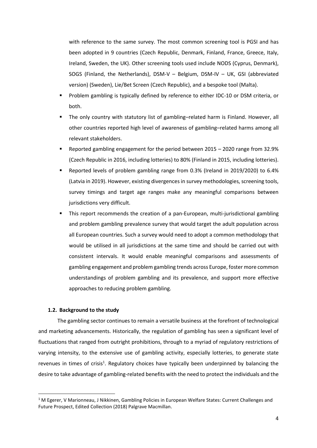with reference to the same survey. The most common screening tool is PGSI and has been adopted in 9 countries (Czech Republic, Denmark, Finland, France, Greece, Italy, Ireland, Sweden, the UK). Other screening tools used include NODS (Cyprus, Denmark), SOGS (Finland, the Netherlands), DSM-V – Belgium, DSM-IV – UK, GSI (abbreviated version) (Sweden), Lie/Bet Screen (Czech Republic), and a bespoke tool (Malta).

- Problem gambling is typically defined by reference to either IDC-10 or DSM criteria, or both.
- The only country with statutory list of gambling–related harm is Finland. However, all other countries reported high level of awareness of gambling–related harms among all relevant stakeholders.
- Reported gambling engagement for the period between 2015 2020 range from 32.9% (Czech Republic in 2016, including lotteries) to 80% (Finland in 2015, including lotteries).
- Reported levels of problem gambling range from 0.3% (Ireland in 2019/2020) to 6.4% (Latvia in 2019). However, existing divergences in survey methodologies, screening tools, survey timings and target age ranges make any meaningful comparisons between jurisdictions very difficult.
- This report recommends the creation of a pan-European, multi-jurisdictional gambling and problem gambling prevalence survey that would target the adult population across all European countries. Such a survey would need to adopt a common methodology that would be utilised in all jurisdictions at the same time and should be carried out with consistent intervals. It would enable meaningful comparisons and assessments of gambling engagement and problem gambling trends across Europe, foster more common understandings of problem gambling and its prevalence, and support more effective approaches to reducing problem gambling.

#### **1.2. Background to the study**

The gambling sector continues to remain a versatile business at the forefront of technological and marketing advancements. Historically, the regulation of gambling has seen a significant level of fluctuations that ranged from outright prohibitions, through to a myriad of regulatory restrictions of varying intensity, to the extensive use of gambling activity, especially lotteries, to generate state revenues in times of crisis<sup>1</sup>. Regulatory choices have typically been underpinned by balancing the desire to take advantage of gambling-related benefits with the need to protect the individuals and the

 $1$  M Egerer, V Marionneau, J Nikkinen, Gambling Policies in European Welfare States: Current Challenges and Future Prospect, Edited Collection (2018) Palgrave Macmillan.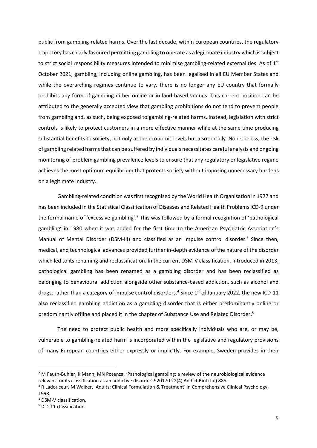public from gambling-related harms. Over the last decade, within European countries, the regulatory trajectory has clearly favoured permitting gambling to operate as a legitimate industry which is subject to strict social responsibility measures intended to minimise gambling-related externalities. As of 1<sup>st</sup> October 2021, gambling, including online gambling, has been legalised in all EU Member States and while the overarching regimes continue to vary, there is no longer any EU country that formally prohibits any form of gambling either online or in land-based venues. This current position can be attributed to the generally accepted view that gambling prohibitions do not tend to prevent people from gambling and, as such, being exposed to gambling-related harms. Instead, legislation with strict controls is likely to protect customers in a more effective manner while at the same time producing substantial benefits to society, not only at the economic levels but also socially. Nonetheless, the risk of gambling related harms that can be suffered by individuals necessitates careful analysis and ongoing monitoring of problem gambling prevalence levels to ensure that any regulatory or legislative regime achieves the most optimum equilibrium that protects society without imposing unnecessary burdens on a legitimate industry.

Gambling-related condition was first recognised by the World Health Organisation in 1977 and has been included in the Statistical Classification of Diseases and Related Health Problems ICD-9 under the formal name of 'excessive gambling'.<sup>2</sup> This was followed by a formal recognition of 'pathological gambling' in 1980 when it was added for the first time to the American Psychiatric Association's Manual of Mental Disorder (DSM-III) and classified as an impulse control disorder.<sup>3</sup> Since then, medical, and technological advances provided further in-depth evidence of the nature of the disorder which led to its renaming and reclassification. In the current DSM-V classification, introduced in 2013, pathological gambling has been renamed as a gambling disorder and has been reclassified as belonging to behavioural addiction alongside other substance-based addiction, such as alcohol and drugs, rather than a category of impulse control disorders.<sup>4</sup> Since 1<sup>st</sup> of January 2022, the new ICD-11 also reclassified gambling addiction as a gambling disorder that is either predominantly online or predominantly offline and placed it in the chapter of Substance Use and Related Disorder. 5

The need to protect public health and more specifically individuals who are, or may be, vulnerable to gambling-related harm is incorporated within the legislative and regulatory provisions of many European countries either expressly or implicitly. For example, Sweden provides in their

<sup>&</sup>lt;sup>2</sup> M Fauth-Buhler, K Mann, MN Potenza, 'Pathological gambling: a review of the neurobiological evidence relevant for its classification as an addictive disorder' 920170 22(4) Addict Biol (Jul) 885.

<sup>&</sup>lt;sup>3</sup> R Ladouceur, M Walker, 'Adults: Clinical Formulation & Treatment' in Comprehensive Clinical Psychology, 1998.

<sup>4</sup> DSM-V classification.

<sup>&</sup>lt;sup>5</sup> ICD-11 classification.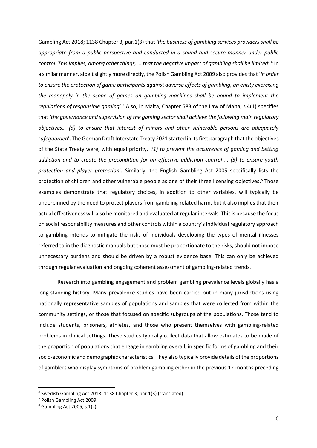Gambling Act 2018; 1138 Chapter 3, par.1(3) that *'the business of gambling services providers shall be appropriate from a public perspective and conducted in a sound and secure manner under public*  control. This implies, among other things, ... that the negative impact of gambling shall be limited<sup>'</sup>.<sup>6</sup> In a similar manner, albeit slightly more directly, the Polish Gambling Act 2009 also provides that '*in order to ensure the protection of game participants against adverse effects of gambling, an entity exercising the monopoly in the scope of games on gambling machines shall be bound to implement the*  regulations of responsible gaming'.<sup>7</sup> Also, in Malta, Chapter 583 of the Law of Malta, s.4(1) specifies that *'the governance and supervision of the gaming sector shall achieve the following main regulatory objectives… (d) to ensure that interest of minors and other vulnerable persons are adequately safeguarded*'. The German Draft Interstate Treaty 2021 started in its first paragraph that the objectives of the State Treaty were, with equal priority, *'(1) to prevent the occurrence of gaming and betting addiction and to create the precondition for an effective addiction control … (3) to ensure youth protection and player protection*'. Similarly, the English Gambling Act 2005 specifically lists the protection of children and other vulnerable people as one of their three licensing objectives. <sup>8</sup> Those examples demonstrate that regulatory choices, in addition to other variables, will typically be underpinned by the need to protect players from gambling-related harm, but it also implies that their actual effectiveness will also be monitored and evaluated at regular intervals. This is because the focus on social responsibility measures and other controls within a country's individual regulatory approach to gambling intends to mitigate the risks of individuals developing the types of mental illnesses referred to in the diagnostic manuals but those must be proportionate to the risks, should not impose unnecessary burdens and should be driven by a robust evidence base. This can only be achieved through regular evaluation and ongoing coherent assessment of gambling-related trends.

Research into gambling engagement and problem gambling prevalence levels globally has a long-standing history. Many prevalence studies have been carried out in many jurisdictions using nationally representative samples of populations and samples that were collected from within the community settings, or those that focused on specific subgroups of the populations. Those tend to include students, prisoners, athletes, and those who present themselves with gambling-related problems in clinical settings. These studies typically collect data that allow estimates to be made of the proportion of populations that engage in gambling overall, in specific forms of gambling and their socio-economic and demographic characteristics. They also typically provide details of the proportions of gamblers who display symptoms of problem gambling either in the previous 12 months preceding

<sup>6</sup> Swedish Gambling Act 2018: 1138 Chapter 3, par.1(3) (translated).

<sup>7</sup> Polish Gambling Act 2009.

 $8$  Gambling Act 2005, s.1(c).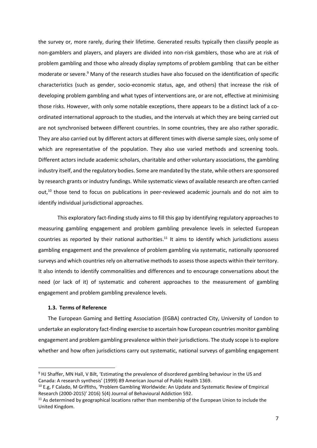the survey or, more rarely, during their lifetime. Generated results typically then classify people as non-gamblers and players, and players are divided into non-risk gamblers, those who are at risk of problem gambling and those who already display symptoms of problem gambling that can be either moderate or severe. <sup>9</sup> Many of the research studies have also focused on the identification of specific characteristics (such as gender, socio-economic status, age, and others) that increase the risk of developing problem gambling and what types of interventions are, or are not, effective at minimising those risks. However, with only some notable exceptions, there appears to be a distinct lack of a coordinated international approach to the studies, and the intervals at which they are being carried out are not synchronised between different countries. In some countries, they are also rather sporadic. They are also carried out by different actors at different times with diverse sample sizes, only some of which are representative of the population. They also use varied methods and screening tools. Different actors include academic scholars, charitable and other voluntary associations, the gambling industry itself, and the regulatory bodies. Some are mandated by the state, while others are sponsored by research grants or industry fundings. While systematic views of available research are often carried out, <sup>10</sup> those tend to focus on publications in peer-reviewed academic journals and do not aim to identify individual jurisdictional approaches.

This exploratory fact-finding study aims to fill this gap by identifying regulatory approaches to measuring gambling engagement and problem gambling prevalence levels in selected European countries as reported by their national authorities.<sup>11</sup> It aims to identify which jurisdictions assess gambling engagement and the prevalence of problem gambling via systematic, nationally sponsored surveys and which countries rely on alternative methods to assess those aspects within their territory. It also intends to identify commonalities and differences and to encourage conversations about the need (or lack of it) of systematic and coherent approaches to the measurement of gambling engagement and problem gambling prevalence levels.

#### **1.3. Terms of Reference**

The European Gaming and Betting Association (EGBA) contracted City, University of London to undertake an exploratory fact-finding exercise to ascertain how European countries monitor gambling engagement and problem gambling prevalence within their jurisdictions. The study scope is to explore whether and how often jurisdictions carry out systematic, national surveys of gambling engagement

<sup>9</sup> HJ Shaffer, MN Hall, V Bilt, 'Estimating the prevalence of disordered gambling behaviour in the US and Canada: A research synthesis' (1999) 89 American Journal of Public Health 1369.

<sup>&</sup>lt;sup>10</sup> E.g, F Calado, M Griffiths, 'Problem Gambling Worldwide: An Update and Systematic Review of Empirical Research (2000-2015)' 2016) 5(4) Journal of Behavioural Addiction 592.

<sup>&</sup>lt;sup>11</sup> As determined by geographical locations rather than membership of the European Union to include the United Kingdom.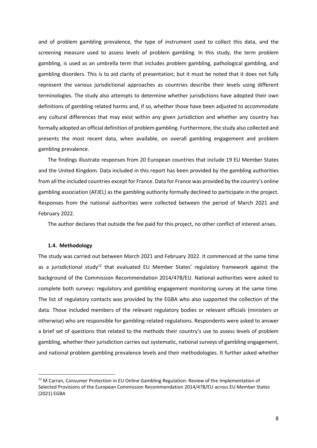and of problem gambling prevalence, the type of instrument used to collect this data, and the screening measure used to assess levels of problem gambling. In this study, the term problem gambling, is used as an umbrella term that includes problem gambling, pathological gambling, and gambling disorders. This is to aid clarity of presentation, but it must be noted that it does not fully represent the various jurisdictional approaches as countries describe their levels using different terminologies. The study also attempts to determine whether jurisdictions have adopted their own definitions of gambling related harms and, if so, whether those have been adjusted to accommodate any cultural differences that may exist within any given jurisdiction and whether any country has formally adopted an official definition of problem gambling. Furthermore, the study also collected and presents the most recent data, when available, on overall gambling engagement and problem gambling prevalence.

The findings illustrate responses from 20 European countries that include 19 EU Member States and the United Kingdom. Data included in this report has been provided by the gambling authorities from all the included countries except for France. Data for France was provided by the country's online gambling association (AFJEL) as the gambling authority formally declined to participate in the project. Responses from the national authorities were collected between the period of March 2021 and February 2022.

The author declares that outside the fee paid for this project, no other conflict of interest arises.

#### **1.4. Methodology**

The study was carried out between March 2021 and February 2022. It commenced at the same time as a jurisdictional study<sup>12</sup> that evaluated EU Member States' regulatory framework against the background of the Commission Recommendation 2014/478/EU. National authorities were asked to complete both surveys: regulatory and gambling engagement monitoring survey at the same time. The list of regulatory contacts was provided by the EGBA who also supported the collection of the data. Those included members of the relevant regulatory bodies or relevant officials (ministers or otherwise) who are responsible for gambling-related regulations. Respondents were asked to answer a brief set of questions that related to the methods their country's use to assess levels of problem gambling, whether their jurisdiction carries out systematic, national surveys of gambling engagement, and national problem gambling prevalence levels and their methodologies. It further asked whether

<sup>&</sup>lt;sup>12</sup> M Carran, Consumer Protection in EU Online Gambling Regulation: Review of the Implementation of Selected Provisions of the European Commission Recommendation 2014/478/EU across EU Member States (2021) EGBA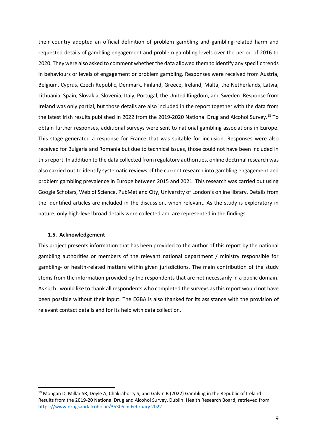their country adopted an official definition of problem gambling and gambling-related harm and requested details of gambling engagement and problem gambling levels over the period of 2016 to 2020. They were also asked to comment whether the data allowed them to identify any specific trends in behaviours or levels of engagement or problem gambling. Responses were received from Austria, Belgium, Cyprus, Czech Republic, Denmark, Finland, Greece, Ireland, Malta, the Netherlands, Latvia, Lithuania, Spain, Slovakia, Slovenia, Italy, Portugal, the United Kingdom, and Sweden. Response from Ireland was only partial, but those details are also included in the report together with the data from the latest Irish results published in 2022 from the 2019-2020 National Drug and Alcohol Survey.<sup>13</sup> To obtain further responses, additional surveys were sent to national gambling associations in Europe. This stage generated a response for France that was suitable for inclusion. Responses were also received for Bulgaria and Romania but due to technical issues, those could not have been included in this report. In addition to the data collected from regulatory authorities, online doctrinal research was also carried out to identify systematic reviews of the current research into gambling engagement and problem gambling prevalence in Europe between 2015 and 2021. This research was carried out using Google Scholars, Web of Science, PubMet and City, University of London's online library. Details from the identified articles are included in the discussion, when relevant. As the study is exploratory in nature, only high-level broad details were collected and are represented in the findings.

#### **1.5. Acknowledgement**

This project presents information that has been provided to the author of this report by the national gambling authorities or members of the relevant national department / ministry responsible for gambling- or health-related matters within given jurisdictions. The main contribution of the study stems from the information provided by the respondents that are not necessarily in a public domain. As such I would like to thank all respondents who completed the surveys as this report would not have been possible without their input. The EGBA is also thanked for its assistance with the provision of relevant contact details and for its help with data collection.

<sup>&</sup>lt;sup>13</sup> Mongan D, Millar SR, Doyle A, Chakraborty S, and Galvin B (2022) Gambling in the Republic of Ireland: Results from the 2019-20 National Drug and Alcohol Survey. Dublin: Health Research Board; retrieved from [https://www.drugsandalcohol.ie/35305 in February 2022.](https://www.drugsandalcohol.ie/35305%20in%20February%202022)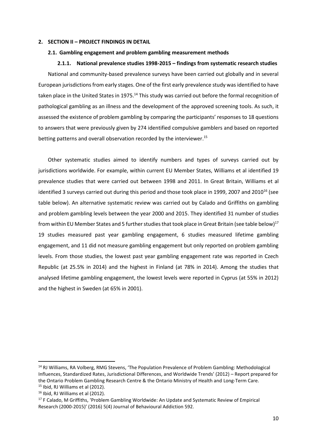#### **2. SECTION II – PROJECT FINDINGS IN DETAIL**

#### **2.1. Gambling engagement and problem gambling measurement methods**

# **2.1.1. National prevalence studies 1998-2015 – findings from systematic research studies**

National and community-based prevalence surveys have been carried out globally and in several European jurisdictions from early stages. One of the first early prevalence study was identified to have taken place in the United States in 1975.<sup>14</sup> This study was carried out before the formal recognition of pathological gambling as an illness and the development of the approved screening tools. As such, it assessed the existence of problem gambling by comparing the participants' responses to 18 questions to answers that were previously given by 274 identified compulsive gamblers and based on reported betting patterns and overall observation recorded by the interviewer. 15

Other systematic studies aimed to identify numbers and types of surveys carried out by jurisdictions worldwide. For example, within current EU Member States, Williams et al identified 19 prevalence studies that were carried out between 1998 and 2011. In Great Britain, Williams et al identified 3 surveys carried out during this period and those took place in 1999, 2007 and 2010<sup>16</sup> (see table below). An alternative systematic review was carried out by Calado and Griffiths on gambling and problem gambling levels between the year 2000 and 2015. They identified 31 number of studies from within EU Member States and 5 further studies that took place in Great Britain (see table below)<sup>17</sup> 19 studies measured past year gambling engagement, 6 studies measured lifetime gambling engagement, and 11 did not measure gambling engagement but only reported on problem gambling levels. From those studies, the lowest past year gambling engagement rate was reported in Czech Republic (at 25.5% in 2014) and the highest in Finland (at 78% in 2014). Among the studies that analysed lifetime gambling engagement, the lowest levels were reported in Cyprus (at 55% in 2012) and the highest in Sweden (at 65% in 2001).

<sup>&</sup>lt;sup>14</sup> RJ Williams, RA Volberg, RMG Stevens, 'The Population Prevalence of Problem Gambling: Methodological Influences, Standardized Rates, Jurisdictional Differences, and Worldwide Trends' (2012) – Report prepared for the Ontario Problem Gambling Research Centre & the Ontario Ministry of Health and Long-Term Care. <sup>15</sup> Ibid, RJ Williams et al (2012).

<sup>16</sup> Ibid, RJ Williams et al (2012).

<sup>&</sup>lt;sup>17</sup> F Calado, M Griffiths, 'Problem Gambling Worldwide: An Update and Systematic Review of Empirical Research (2000-2015)' (2016) 5(4) Journal of Behavioural Addiction 592.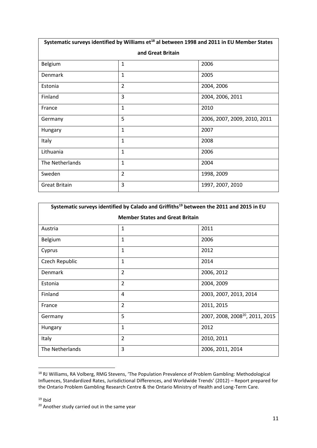| Systematic surveys identified by Williams et <sup>18</sup> al between 1998 and 2011 in EU Member States |                |                              |  |  |  |  |  |  |  |
|---------------------------------------------------------------------------------------------------------|----------------|------------------------------|--|--|--|--|--|--|--|
| and Great Britain                                                                                       |                |                              |  |  |  |  |  |  |  |
| <b>Belgium</b>                                                                                          | $\mathbf{1}$   | 2006                         |  |  |  |  |  |  |  |
| Denmark                                                                                                 | $\mathbf{1}$   | 2005                         |  |  |  |  |  |  |  |
| Estonia                                                                                                 | $\overline{2}$ | 2004, 2006                   |  |  |  |  |  |  |  |
| Finland                                                                                                 | 3              | 2004, 2006, 2011             |  |  |  |  |  |  |  |
| France                                                                                                  | $\mathbf{1}$   | 2010                         |  |  |  |  |  |  |  |
| Germany                                                                                                 | 5              | 2006, 2007, 2009, 2010, 2011 |  |  |  |  |  |  |  |
| Hungary                                                                                                 | $\mathbf{1}$   | 2007                         |  |  |  |  |  |  |  |
| Italy                                                                                                   | $\mathbf{1}$   | 2008                         |  |  |  |  |  |  |  |
| Lithuania                                                                                               | $\mathbf{1}$   | 2006                         |  |  |  |  |  |  |  |
| The Netherlands                                                                                         | $\mathbf{1}$   | 2004                         |  |  |  |  |  |  |  |
| Sweden                                                                                                  | $\overline{2}$ | 1998, 2009                   |  |  |  |  |  |  |  |
| <b>Great Britain</b>                                                                                    | 3              | 1997, 2007, 2010             |  |  |  |  |  |  |  |

| Systematic surveys identified by Calado and Griffiths <sup>19</sup> between the 2011 and 2015 in EU |                |                                             |  |  |  |  |  |  |
|-----------------------------------------------------------------------------------------------------|----------------|---------------------------------------------|--|--|--|--|--|--|
| <b>Member States and Great Britain</b>                                                              |                |                                             |  |  |  |  |  |  |
| Austria                                                                                             | $\mathbf{1}$   | 2011                                        |  |  |  |  |  |  |
| Belgium                                                                                             | 1              | 2006                                        |  |  |  |  |  |  |
| Cyprus                                                                                              | $\mathbf{1}$   | 2012                                        |  |  |  |  |  |  |
| Czech Republic                                                                                      | $\mathbf{1}$   | 2014                                        |  |  |  |  |  |  |
| Denmark                                                                                             | $\overline{2}$ | 2006, 2012                                  |  |  |  |  |  |  |
| Estonia                                                                                             | $\overline{2}$ | 2004, 2009                                  |  |  |  |  |  |  |
| Finland                                                                                             | 4              | 2003, 2007, 2013, 2014                      |  |  |  |  |  |  |
| France                                                                                              | $\overline{2}$ | 2011, 2015                                  |  |  |  |  |  |  |
| Germany                                                                                             | 5              | 2007, 2008, 2008 <sup>20</sup> , 2011, 2015 |  |  |  |  |  |  |
| Hungary                                                                                             | $\mathbf{1}$   | 2012                                        |  |  |  |  |  |  |
| Italy                                                                                               | $\overline{2}$ | 2010, 2011                                  |  |  |  |  |  |  |
| The Netherlands                                                                                     | 3              | 2006, 2011, 2014                            |  |  |  |  |  |  |

<sup>18</sup> RJ Williams, RA Volberg, RMG Stevens, 'The Population Prevalence of Problem Gambling: Methodological Influences, Standardized Rates, Jurisdictional Differences, and Worldwide Trends' (2012) – Report prepared for the Ontario Problem Gambling Research Centre & the Ontario Ministry of Health and Long-Term Care.

 $19$  Ibid

<sup>&</sup>lt;sup>20</sup> Another study carried out in the same year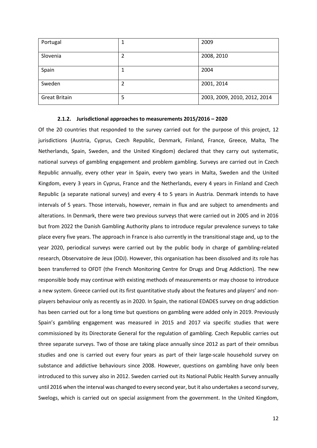| Portugal             | 1 | 2009                         |
|----------------------|---|------------------------------|
| Slovenia             | 2 | 2008, 2010                   |
| Spain                | 1 | 2004                         |
| Sweden               | 2 | 2001, 2014                   |
| <b>Great Britain</b> | 5 | 2003, 2009, 2010, 2012, 2014 |

#### **2.1.2. Jurisdictional approaches to measurements 2015/2016 – 2020**

Of the 20 countries that responded to the survey carried out for the purpose of this project, 12 jurisdictions (Austria, Cyprus, Czech Republic, Denmark, Finland, France, Greece, Malta, The Netherlands, Spain, Sweden, and the United Kingdom) declared that they carry out systematic, national surveys of gambling engagement and problem gambling. Surveys are carried out in Czech Republic annually, every other year in Spain, every two years in Malta, Sweden and the United Kingdom, every 3 years in Cyprus, France and the Netherlands, every 4 years in Finland and Czech Republic (a separate national survey) and every 4 to 5 years in Austria. Denmark intends to have intervals of 5 years. Those intervals, however, remain in flux and are subject to amendments and alterations. In Denmark, there were two previous surveys that were carried out in 2005 and in 2016 but from 2022 the Danish Gambling Authority plans to introduce regular prevalence surveys to take place every five years. The approach in France is also currently in the transitional stage and, up to the year 2020, periodical surveys were carried out by the public body in charge of gambling-related research, Observatoire de Jeux (ODJ). However, this organisation has been dissolved and its role has been transferred to OFDT (the French Monitoring Centre for Drugs and Drug Addiction). The new responsible body may continue with existing methods of measurements or may choose to introduce a new system. Greece carried out its first quantitative study about the features and players' and nonplayers behaviour only as recently as in 2020. In Spain, the national EDADES survey on drug addiction has been carried out for a long time but questions on gambling were added only in 2019. Previously Spain's gambling engagement was measured in 2015 and 2017 via specific studies that were commissioned by its Directorate General for the regulation of gambling. Czech Republic carries out three separate surveys. Two of those are taking place annually since 2012 as part of their omnibus studies and one is carried out every four years as part of their large-scale household survey on substance and addictive behaviours since 2008. However, questions on gambling have only been introduced to this survey also in 2012. Sweden carried out its National Public Health Survey annually until 2016 when the interval was changed to every second year, but it also undertakes a second survey, Swelogs, which is carried out on special assignment from the government. In the United Kingdom,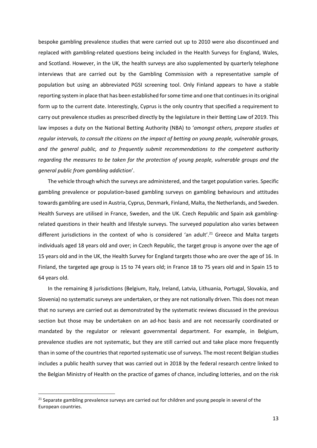bespoke gambling prevalence studies that were carried out up to 2010 were also discontinued and replaced with gambling-related questions being included in the Health Surveys for England, Wales, and Scotland. However, in the UK, the health surveys are also supplemented by quarterly telephone interviews that are carried out by the Gambling Commission with a representative sample of population but using an abbreviated PGSI screening tool. Only Finland appears to have a stable reporting system in place that has been established for some time and one that continues in its original form up to the current date. Interestingly, Cyprus is the only country that specified a requirement to carry out prevalence studies as prescribed directly by the legislature in their Betting Law of 2019. This law imposes a duty on the National Betting Authority (NBA) to '*amongst others, prepare studies at regular intervals, to consult the citizens on the impact of betting on young people, vulnerable groups, and the general public, and to frequently submit recommendations to the competent authority regarding the measures to be taken for the protection of young people, vulnerable groups and the general public from gambling addiction*'.

The vehicle through which the surveys are administered, and the target population varies. Specific gambling prevalence or population-based gambling surveys on gambling behaviours and attitudes towards gambling are used in Austria, Cyprus, Denmark, Finland, Malta, the Netherlands, and Sweden. Health Surveys are utilised in France, Sweden, and the UK. Czech Republic and Spain ask gamblingrelated questions in their health and lifestyle surveys. The surveyed population also varies between different jurisdictions in the context of who is considered 'an adult'.<sup>21</sup> Greece and Malta targets individuals aged 18 years old and over; in Czech Republic, the target group is anyone over the age of 15 years old and in the UK, the Health Survey for England targets those who are over the age of 16. In Finland, the targeted age group is 15 to 74 years old; in France 18 to 75 years old and in Spain 15 to 64 years old.

In the remaining 8 jurisdictions (Belgium, Italy, Ireland, Latvia, Lithuania, Portugal, Slovakia, and Slovenia) no systematic surveys are undertaken, or they are not nationally driven. This does not mean that no surveys are carried out as demonstrated by the systematic reviews discussed in the previous section but those may be undertaken on an ad-hoc basis and are not necessarily coordinated or mandated by the regulator or relevant governmental department. For example, in Belgium, prevalence studies are not systematic, but they are still carried out and take place more frequently than in some of the countries that reported systematic use of surveys. The most recent Belgian studies includes a public health survey that was carried out in 2018 by the federal research centre linked to the Belgian Ministry of Health on the practice of games of chance, including lotteries, and on the risk

 $21$  Separate gambling prevalence surveys are carried out for children and young people in several of the European countries.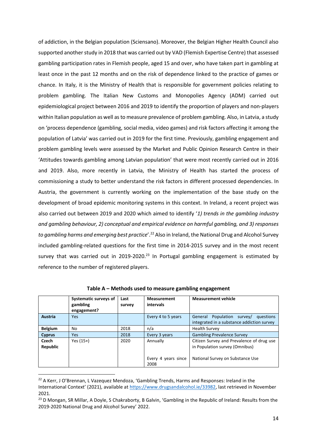of addiction, in the Belgian population (Sciensano). Moreover, the Belgian Higher Health Council also supported another study in 2018 that was carried out by VAD (Flemish Expertise Centre) that assessed gambling participation rates in Flemish people, aged 15 and over, who have taken part in gambling at least once in the past 12 months and on the risk of dependence linked to the practice of games or chance. In Italy, it is the Ministry of Health that is responsible for government policies relating to problem gambling. The Italian New Customs and Monopolies Agency (ADM) carried out epidemiological project between 2016 and 2019 to identify the proportion of players and non-players within Italian population as well as to measure prevalence of problem gambling. Also, in Latvia, a study on 'process dependence (gambling, social media, video games) and risk factors affecting it among the population of Latvia' was carried out in 2019 for the first time. Previously, gambling engagement and problem gambling levels were assessed by the Market and Public Opinion Research Centre in their 'Attitudes towards gambling among Latvian population' that were most recently carried out in 2016 and 2019. Also, more recently in Latvia, the Ministry of Health has started the process of commissioning a study to better understand the risk factors in different processed dependencies. In Austria, the government is currently working on the implementation of the base study on the development of broad epidemic monitoring systems in this context. In Ireland, a recent project was also carried out between 2019 and 2020 which aimed to identify '*1) trends in the gambling industry and gambling behaviour, 2) conceptual and empirical evidence on harmful gambling, and 3) responses to gambling harms and emerging best practice*'. <sup>22</sup> Also in Ireland, the National Drug and Alcohol Survey included gambling-related questions for the first time in 2014-2015 survey and in the most recent survey that was carried out in 2019-2020. $^{23}$  In Portugal gambling engagement is estimated by reference to the number of registered players.

|                   | Systematic surveys of<br>gambling<br>engagement? | Last<br>survey | <b>Measurement</b><br>intervals | <b>Measurement vehicle</b>                                                                                      |
|-------------------|--------------------------------------------------|----------------|---------------------------------|-----------------------------------------------------------------------------------------------------------------|
| Austria           | Yes                                              |                | Every 4 to 5 years              | Population<br>General<br>survey/<br>questions<br>integrated in a substance addiction survey                     |
| <b>Belgium</b>    | No                                               | 2018           | n/a                             | <b>Health Survey</b>                                                                                            |
| <b>Cyprus</b>     | <b>Yes</b>                                       | 2018           | Every 3 years                   | <b>Gambling Prevalence Survey</b>                                                                               |
| Czech<br>Republic | Yes $(15+)$                                      | 2020           | Annually<br>Every 4 years since | Citizen Survey and Prevalence of drug use<br>in Population survey (Omnibus)<br>National Survey on Substance Use |
|                   |                                                  |                | 2008                            |                                                                                                                 |

**Table A – Methods used to measure gambling engagement**

<sup>&</sup>lt;sup>22</sup> A Kerr, J O'Brennan, L Vazequez Mendoza, 'Gambling Trends, Harms and Responses: Ireland in the International Context' (2021), available at [https://www.drugsandalcohol.ie/33982,](https://www.drugsandalcohol.ie/33982) last retrieved in November 2021.

<sup>&</sup>lt;sup>23</sup> D Mongan, SR Millar, A Doyle, S Chakraborty, B Galvin, 'Gambling in the Republic of Ireland: Results from the 2019-2020 National Drug and Alcohol Survey' 2022.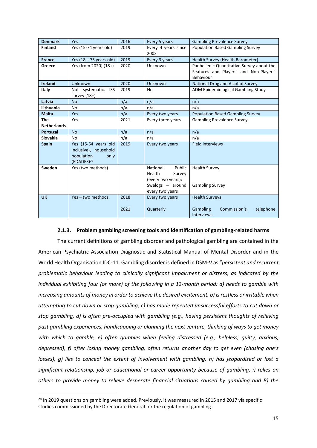| <b>Denmark</b>     | <b>Yes</b>                                                                                    | 2016         | Every 5 years                                                                                         | <b>Gambling Prevalence Survey</b>                                                                |
|--------------------|-----------------------------------------------------------------------------------------------|--------------|-------------------------------------------------------------------------------------------------------|--------------------------------------------------------------------------------------------------|
| <b>Finland</b>     | Yes (15-74 years old)                                                                         | 2019         | Every 4 years since<br>2003                                                                           | <b>Population Based Gambling Survey</b>                                                          |
| <b>France</b>      | Yes $(18 - 75$ years old)                                                                     | 2019         | Every 3 years                                                                                         | Health Survey (Health Barometer)                                                                 |
| Greece             | Yes (from 2020) (18+)                                                                         | 2020         | Unknown                                                                                               | Panhellenic Quantitative Survey about the<br>Features and Players' and Non-Players'<br>Behaviour |
| <b>Ireland</b>     | Unknown                                                                                       | 2020         | Unknown                                                                                               | National Drug and Alcohol Survey                                                                 |
| Italy              | Not systematic. ISS<br>survey $(18+)$                                                         | 2019         | No                                                                                                    | ADM Epidemiological Gambling Study                                                               |
| Latvia             | <b>No</b>                                                                                     | n/a          | n/a                                                                                                   | n/a                                                                                              |
| Lithuania          | N <sub>o</sub>                                                                                | n/a          | n/a                                                                                                   | n/a                                                                                              |
| <b>Malta</b>       | Yes                                                                                           | n/a          | Every two years                                                                                       | <b>Population Based Gambling Survey</b>                                                          |
| The                | Yes                                                                                           | 2021         | Every three years                                                                                     | <b>Gambling Prevalence Survey</b>                                                                |
| <b>Netherlands</b> |                                                                                               |              |                                                                                                       |                                                                                                  |
| Portugal           | <b>No</b>                                                                                     | n/a          | n/a                                                                                                   | n/a                                                                                              |
| Slovakia           | <b>No</b>                                                                                     | n/a          | n/a                                                                                                   | n/a                                                                                              |
| <b>Spain</b>       | Yes (15-64 years old<br>inclusive), household<br>population<br>only<br>(EDADES) <sup>24</sup> | 2019         | Every two years                                                                                       | <b>Field interviews</b>                                                                          |
| Sweden             | Yes (two methods)                                                                             |              | Public<br>National<br>Health<br>Survey<br>(every two years);<br>Swelogs $-$ around<br>every two years | <b>Health Survey</b><br><b>Gambling Survey</b>                                                   |
| <b>UK</b>          | Yes - two methods                                                                             | 2018<br>2021 | Every two years<br>Quarterly                                                                          | <b>Health Surveys</b><br>Gambling<br>Commission's<br>telephone<br>interviews.                    |

## **2.1.3. Problem gambling screening tools and identification of gambling-related harms**

The current definitions of gambling disorder and pathological gambling are contained in the American Psychiatric Association Diagnostic and Statistical Manual of Mental Disorder and in the World Health Organisation IDC-11. Gambling disorder is defined in DSM-V as "*persistent and recurrent problematic behaviour leading to clinically significant impairment or distress, as indicated by the individual exhibiting four (or more) of the following in a 12-month period: a) needs to gamble with increasing amounts of money in order to achieve the desired excitement, b) is restless or irritable when attempting to cut down or stop gambling; c) has made repeated unsuccessful efforts to cut down or stop gambling, d) is often pre-occupied with gambling (e.g., having persistent thoughts of relieving past gambling experiences, handicapping or planning the next venture, thinking of ways to get money with which to gamble, e) often gambles when feeling distressed (e.g., helpless, guilty, anxious, depressed), f) after losing money gambling, often returns another day to get even (chasing one's losses), g) lies to conceal the extent of involvement with gambling, h) has jeopardised or lost a significant relationship, job or educational or career opportunity because of gambling, i) relies on others to provide money to relieve desperate financial situations caused by gambling and B) the* 

 $24$  In 2019 questions on gambling were added. Previously, it was measured in 2015 and 2017 via specific studies commissioned by the Directorate General for the regulation of gambling.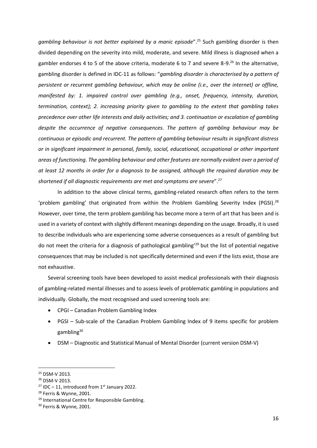*gambling behaviour is not better explained by a manic episode*". <sup>25</sup> Such gambling disorder is then divided depending on the severity into mild, moderate, and severe. Mild illness is diagnosed when a gambler endorses 4 to 5 of the above criteria, moderate 6 to 7 and severe 8-9.<sup>26</sup> In the alternative, gambling disorder is defined in IDC-11 as follows: "*gambling disorder is characterised by a pattern of persistent or recurrent gambling behaviour, which may be online (i.e., over the internet) or offline, manifested by: 1. impaired control over gambling (e.g., onset, frequency, intensity, duration, termination, context); 2. increasing priority given to gambling to the extent that gambling takes precedence over other life interests and daily activities; and 3. continuation or escalation of gambling despite the occurrence of negative consequences. The pattern of gambling behaviour may be continuous or episodic and recurrent. The pattern of gambling behaviour results in significant distress or in significant impairment in personal, family, social, educational, occupational or other important areas of functioning. The gambling behaviour and other features are normally evident over a period of at least 12 months in order for a diagnosis to be assigned, although the required duration may be shortened if all diagnostic requirements are met and symptoms are severe*". 27

In addition to the above clinical terms, gambling-related research often refers to the term 'problem gambling' that originated from within the Problem Gambling Severity Index (PGSI).<sup>28</sup> However, over time, the term problem gambling has become more a term of art that has been and is used in a variety of context with slightly different meanings depending on the usage. Broadly, it is used to describe individuals who are experiencing some adverse consequences as a result of gambling but do not meet the criteria for a diagnosis of pathological gambling'<sup>29</sup> but the list of potential negative consequences that may be included is not specifically determined and even if the lists exist, those are not exhaustive.

Several screening tools have been developed to assist medical professionals with their diagnosis of gambling-related mental illnesses and to assess levels of problematic gambling in populations and individually. Globally, the most recognised and used screening tools are:

- CPGI Canadian Problem Gambling Index
- PGSI Sub-scale of the Canadian Problem Gambling Index of 9 items specific for problem gambling<sup>30</sup>
- DSM Diagnostic and Statistical Manual of Mental Disorder (current version DSM-V)

<sup>25</sup> DSM-V 2013.

<sup>26</sup> DSM-V 2013.

<sup>&</sup>lt;sup>27</sup> IDC – 11, introduced from  $1<sup>st</sup>$  January 2022.

<sup>28</sup> Ferris & Wynne, 2001.

<sup>&</sup>lt;sup>29</sup> International Centre for Responsible Gambling.

<sup>30</sup> Ferris & Wynne, 2001.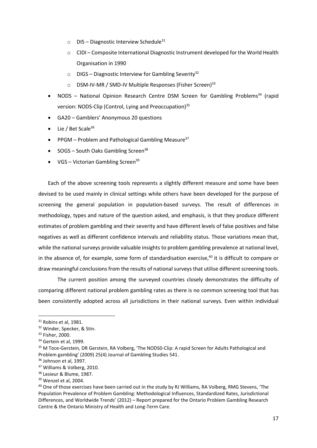- $\circ$  DIS Diagnostic Interview Schedule<sup>31</sup>
- o CIDI Composite International Diagnostic Instrument developed for the World Health Organisation in 1990
- $\circ$  DIGS Diagnostic Interview for Gambling Severity<sup>32</sup>
- o DSM-IV-MR / SMD-IV Multiple Responses (Fisher Screen)<sup>33</sup>
- NODS National Opinion Research Centre DSM Screen for Gambling Problems<sup>34</sup> (rapid version: NODS-Clip (Control, Lying and Preoccupation)<sup>35</sup>
- GA20 Gamblers' Anonymous 20 questions
- Lie / Bet Scale $36$
- PPGM Problem and Pathological Gambling Measure<sup>37</sup>
- SOGS South Oaks Gambling Screen<sup>38</sup>
- VGS Victorian Gambling Screen<sup>39</sup>

Each of the above screening tools represents a slightly different measure and some have been devised to be used mainly in clinical settings while others have been developed for the purpose of screening the general population in population-based surveys. The result of differences in methodology, types and nature of the question asked, and emphasis, is that they produce different estimates of problem gambling and their severity and have different levels of false positives and false negatives as well as different confidence intervals and reliability status. Those variations mean that, while the national surveys provide valuable insights to problem gambling prevalence at national level, in the absence of, for example, some form of standardisation exercise, <sup>40</sup> it is difficult to compare or draw meaningful conclusions from the results of national surveys that utilise different screening tools.

The current position among the surveyed countries closely demonstrates the difficulty of comparing different national problem gambling rates as there is no common screening tool that has been consistently adopted across all jurisdictions in their national surveys. Even within individual

<sup>&</sup>lt;sup>31</sup> Robins et al, 1981.

<sup>32</sup> Winder, Specker, & Stin.

<sup>33</sup> Fisher, 2000.

<sup>&</sup>lt;sup>34</sup> Gertein et al, 1999.

<sup>&</sup>lt;sup>35</sup> M Toce-Gerstein, DR Gerstein, RA Volberg, 'The NODS0-Clip: A rapid Screen for Adults Pathological and Problem gambling' (2009) 25(4) Journal of Gambling Studies 541.

<sup>&</sup>lt;sup>36</sup> Johnson et al, 1997.

<sup>37</sup> Williams & Volberg, 2010.

<sup>38</sup> Lesieur & Blume, 1987.

<sup>39</sup> Wenzel et al, 2004.

<sup>&</sup>lt;sup>40</sup> One of those exercises have been carried out in the study by RJ Williams, RA Volberg, RMG Stevens, 'The Population Prevalence of Problem Gambling: Methodological Influences, Standardized Rates, Jurisdictional Differences, and Worldwide Trends' (2012) – Report prepared for the Ontario Problem Gambling Research Centre & the Ontario Ministry of Health and Long-Term Care.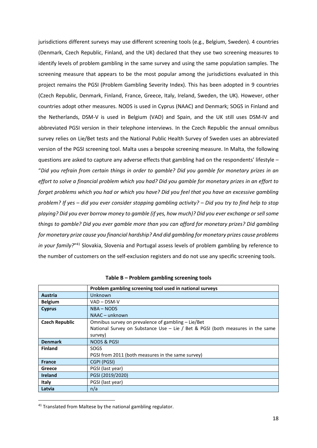jurisdictions different surveys may use different screening tools (e.g., Belgium, Sweden). 4 countries (Denmark, Czech Republic, Finland, and the UK) declared that they use two screening measures to identify levels of problem gambling in the same survey and using the same population samples. The screening measure that appears to be the most popular among the jurisdictions evaluated in this project remains the PGSI (Problem Gambling Severity Index). This has been adopted in 9 countries (Czech Republic, Denmark, Finland, France, Greece, Italy, Ireland, Sweden, the UK). However, other countries adopt other measures. NODS is used in Cyprus (NAAC) and Denmark; SOGS in Finland and the Netherlands, DSM-V is used in Belgium (VAD) and Spain, and the UK still uses DSM-IV and abbreviated PGSI version in their telephone interviews. In the Czech Republic the annual omnibus survey relies on Lie/Bet tests and the National Public Health Survey of Sweden uses an abbreviated version of the PGSI screening tool. Malta uses a bespoke screening measure. In Malta, the following questions are asked to capture any adverse effects that gambling had on the respondents' lifestyle – "*Did you refrain from certain things in order to gamble? Did you gamble for monetary prizes in an effort to solve a financial problem which you had? Did you gamble for monetary prizes in an effort to forget problems which you had or which you have? Did you feel that you have an excessive gambling problem? If yes – did you ever consider stopping gambling activity? – Did you try to find help to stop playing? Did you ever borrow money to gamble (if yes, how much)? Did you ever exchange or sell some things to gamble? Did you ever gamble more than you can afford for monetary prizes? Did gambling for monetary prize cause you financial hardship? And did gambling for monetary prizes cause problems*  in your family?"<sup>41</sup> Slovakia, Slovenia and Portugal assess levels of problem gambling by reference to the number of customers on the self-exclusion registers and do not use any specific screening tools.

|                       | Problem gambling screening tool used in national surveys                         |
|-----------------------|----------------------------------------------------------------------------------|
| <b>Austria</b>        | Unknown                                                                          |
| <b>Belgium</b>        | VAD – DSM-V                                                                      |
| <b>Cyprus</b>         | NBA - NODS                                                                       |
|                       | NAAC - unknown                                                                   |
| <b>Czech Republic</b> | Omnibus survey on prevalence of gambling - Lie/Bet                               |
|                       | National Survey on Substance Use $-$ Lie / Bet & PGSI (both measures in the same |
|                       | survey)                                                                          |
| <b>Denmark</b>        | <b>NODS &amp; PGSI</b>                                                           |
| <b>Finland</b>        | <b>SOGS</b>                                                                      |
|                       | PGSI from 2011 (both measures in the same survey)                                |
| <b>France</b>         | CGPI (PGSI)                                                                      |
| Greece                | PGSI (last year)                                                                 |
| <b>Ireland</b>        | PGSI (2019/2020)                                                                 |
| Italy                 | PGSI (last year)                                                                 |
| Latvia                | n/a                                                                              |

<sup>&</sup>lt;sup>41</sup> Translated from Maltese by the national gambling regulator.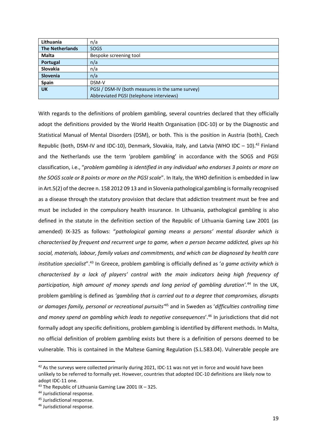| Lithuania              | n/a                                              |
|------------------------|--------------------------------------------------|
| <b>The Netherlands</b> | <b>SOGS</b>                                      |
| <b>Malta</b>           | Bespoke screening tool                           |
| Portugal               | n/a                                              |
| Slovakia               | n/a                                              |
| <b>Slovenia</b>        | n/a                                              |
| Spain                  | DSM-V                                            |
| <b>UK</b>              | PGSI / DSM-IV (both measures in the same survey) |
|                        | Abbreviated PGSI (telephone interviews)          |

With regards to the definitions of problem gambling, several countries declared that they officially adopt the definitions provided by the World Health Organisation (IDC-10) or by the Diagnostic and Statistical Manual of Mental Disorders (DSM), or both. This is the position in Austria (both), Czech Republic (both, DSM-IV and IDC-10), Denmark, Slovakia, Italy, and Latvia (WHO IDC  $-$  10).<sup>42</sup> Finland and the Netherlands use the term 'problem gambling' in accordance with the SOGS and PGSI classification, i.e., "*problem gambling is identified in any individual who endorses 3 points or more on the SOGS scale or 8 points or more on the PGSI scale*". In Italy, the WHO definition is embedded in law in Art.5(2) of the decree n. 158 2012 09 13 and in Slovenia pathological gambling is formally recognised as a disease through the statutory provision that declare that addiction treatment must be free and must be included in the compulsory health insurance. In Lithuania, pathological gambling is also defined in the statute in the definition section of the Republic of Lithuania Gaming Law 2001 (as amended) IX-325 as follows: "*pathological gaming means a persons' mental disorder which is characterised by frequent and recurrent urge to game, when a person became addicted, gives up his social, materials, labour, family values and commitments, and which can be diagnosed by health care institution specialist*". <sup>43</sup> In Greece, problem gambling is officially defined as '*a game activity which is characterised by a lack of players' control with the main indicators being high frequency of participation, high amount of money spends and long period of gambling duration'.* <sup>44</sup> In the UK, problem gambling is defined as *'gambling that is carried out to a degree that compromises, disrupts or damages family, personal or recreational pursuits'*<sup>45</sup> and in Sweden as '*difficulties controlling time and money spend on gambling which leads to negative consequences*'. <sup>46</sup> In jurisdictions that did not formally adopt any specific definitions, problem gambling is identified by different methods. In Malta, no official definition of problem gambling exists but there is a definition of persons deemed to be vulnerable. This is contained in the Maltese Gaming Regulation (S.L.583.04). Vulnerable people are

 $42$  As the surveys were collected primarily during 2021, IDC-11 was not yet in force and would have been unlikely to be referred to formally yet. However, countries that adopted IDC-10 definitions are likely now to adopt IDC-11 one.

<sup>43</sup> The Republic of Lithuania Gaming Law 2001 IX – 325.

<sup>44</sup> Jurisdictional response.

<sup>45</sup> Jurisdictional response.

<sup>46</sup> Jurisdictional response.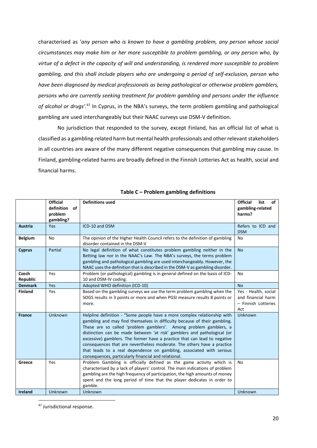characterised as '*any person who is known to have a gambling problem, any person whose social circumstances may make him or her more susceptible to problem gambling, or any person who, by virtue of a defect in the capacity of will and understanding, is rendered more susceptible to problem gambling, and this shall include players who are undergoing a period of self-exclusion, person who have been diagnosed by medical professionals as being pathological or otherwise problem gamblers, persons who are currently seeking treatment for problem gambling and persons under the influence of alcohol or drugs'.* <sup>47</sup> In Cyprus, in the NBA's surveys, the term problem gambling and pathological gambling are used interchangeably but their NAAC surveys use DSM-V definition.

No jurisdiction that responded to the survey, except Finland, has an official list of what is classified as a gambling-related harm but mental health professionals and other relevant stakeholders in all countries are aware of the many different negative consequences that gambling may cause. In Finland, gambling-related harms are broadly defined in the Finnish Lotteries Act as health, social and financial harms.

|                          | <b>Official</b><br>definition of<br>problem<br>gambling? | <b>Definitions used</b>                                                                                                                                                                                                                                                                                                                                                                                                                                                                                                                                                                       | <b>Official</b><br>list<br>of<br>gambling-related<br>harms?              |
|--------------------------|----------------------------------------------------------|-----------------------------------------------------------------------------------------------------------------------------------------------------------------------------------------------------------------------------------------------------------------------------------------------------------------------------------------------------------------------------------------------------------------------------------------------------------------------------------------------------------------------------------------------------------------------------------------------|--------------------------------------------------------------------------|
| <b>Austria</b>           | Yes                                                      | ICD-10 and DSM                                                                                                                                                                                                                                                                                                                                                                                                                                                                                                                                                                                | Refers to ICD and<br><b>DSM</b>                                          |
| <b>Belgium</b>           | No                                                       | The opinion of the Higher Health Council refers to the definition of gambling<br>disorder contained in the DSM-V                                                                                                                                                                                                                                                                                                                                                                                                                                                                              | No                                                                       |
| <b>Cyprus</b>            | Partial                                                  | No legal definition of what constitutes problem gambling neither in the<br>Betting law nor in the NAAC's Law. The NBA's surveys, the terms problem<br>gambling and pathological gambling are used interchangeably. However, the<br>NAAC uses the definition that is described in the DSM-V as gambling disorder.                                                                                                                                                                                                                                                                              | <b>No</b>                                                                |
| Czech<br><b>Republic</b> | Yes                                                      | Problem (or pathological) gambling is in general defined on the basis of ICD-<br>10 and DSM-IV coding.                                                                                                                                                                                                                                                                                                                                                                                                                                                                                        | No                                                                       |
| <b>Denmark</b>           | Yes                                                      | Adopted WHO definition (ICD-10)                                                                                                                                                                                                                                                                                                                                                                                                                                                                                                                                                               | <b>No</b>                                                                |
| <b>Finland</b>           | Yes                                                      | Based on the gambling surveys we use the term problem gambling when the<br>SOGS results in 3 points or more and when PGSI measure results 8 points or<br>more.                                                                                                                                                                                                                                                                                                                                                                                                                                | Yes - Health, social<br>and financial harm<br>- Finnish Lotteries<br>Act |
| <b>France</b>            | <b>Unknown</b>                                           | Helpline definition - "Some people have a more complex relationship with<br>gambling and may find themselves in difficulty because of their gambling.<br>These are so called 'problem gamblers'. Among problem gamblers, a<br>distinction can be made between 'at risk' gamblers and pathological (or<br>excessive) gamblers. The former have a practice that can lead to negative<br>consequences that are nevertheless moderate. The others have a practice<br>that leads to a real dependence on gambling, associated with serious<br>consequences, particularly financial and relational. | Unknown                                                                  |
| Greece                   | Yes                                                      | Problem Gambling is officially defined as the game activity which is<br>characterised by a lack of players' control. The main indications of problem<br>gambling are the high frequency of participation, the high amounts of money<br>spent and the long period of time that the player dedicates in order to<br>gamble.                                                                                                                                                                                                                                                                     | No                                                                       |
| <b>Ireland</b>           | <b>Unknown</b>                                           | Unknown                                                                                                                                                                                                                                                                                                                                                                                                                                                                                                                                                                                       | Unknown                                                                  |

**Table C – Problem gambling definitions** 

<sup>47</sup> Jurisdictional response.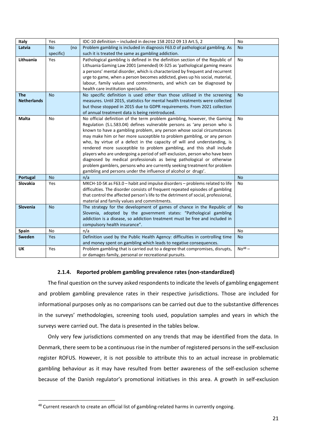| Italy              | Yes       |     | IDC-10 definition - included in decree 158 2012 09 13 Art.5, 2                    | No        |
|--------------------|-----------|-----|-----------------------------------------------------------------------------------|-----------|
| Latvia             | <b>No</b> | (no | Problem gambling is included in diagnosis F63.0 of pathological gambling. As      | <b>No</b> |
|                    | specific) |     | such it is treated the same as gambling addiction.                                |           |
| Lithuania          | Yes       |     | Pathological gambling is defined in the definition section of the Republic of     | No        |
|                    |           |     | Lithuania Gaming Law 2001 (amended) IX-325 as 'pathological gaming means          |           |
|                    |           |     | a persons' mental disorder, which is characterized by frequent and recurrent      |           |
|                    |           |     | urge to game, when a person becomes addicted, gives up his social, material,      |           |
|                    |           |     | labour, family values and commitments, and which can be diagnosed by              |           |
|                    |           |     | health care institution specialists.                                              |           |
| <b>The</b>         | <b>No</b> |     | No specific definition is used other than those utilised in the screening         | <b>No</b> |
| <b>Netherlands</b> |           |     | measures. Until 2015, statistics for mental health treatments were collected      |           |
|                    |           |     | but those stopped in 2015 due to GDPR requirements. From 2021 collection          |           |
|                    |           |     | of annual treatment data is being reintroduced.                                   |           |
| Malta              | No        |     | No official definition of the term problem gambling, however, the Gaming          | No        |
|                    |           |     | Regulation (S.L.583.04) defines vulnerable persons as 'any person who is          |           |
|                    |           |     | known to have a gambling problem, any person whose social circumstances           |           |
|                    |           |     | may make him or her more susceptible to problem gambling, or any person           |           |
|                    |           |     | who, by virtue of a defect in the capacity of will and understanding, is          |           |
|                    |           |     | rendered more susceptible to problem gambling, and this shall include             |           |
|                    |           |     | players who are undergoing a period of self-exclusion, person who have been       |           |
|                    |           |     | diagnosed by medical professionals as being pathological or otherwise             |           |
|                    |           |     | problem gamblers, persons who are currently seeking treatment for problem         |           |
|                    |           |     | gambling and persons under the influence of alcohol or drugs'.                    |           |
| <b>Portugal</b>    | <b>No</b> |     | n/a                                                                               | <b>No</b> |
| Slovakia           | Yes       |     | MKCH-10-SK as F63.0 - habit and impulse disorders - problems related to life      | No        |
|                    |           |     | difficulties. The disorder consists of frequent repeated episodes of gambling     |           |
|                    |           |     | that control the affected person's life to the detriment of social, professional, |           |
|                    |           |     | material and family values and commitments.                                       |           |
| Slovenia           | <b>No</b> |     | The strategy for the development of games of chance in the Republic of            | <b>No</b> |
|                    |           |     | Slovenia, adopted by the government states: "Pathological gambling                |           |
|                    |           |     | addiction is a disease, so addiction treatment must be free and included in       |           |
|                    |           |     | compulsory health insurance".                                                     |           |
| Spain              | No        |     | n/a                                                                               | No        |
| Sweden             | Yes       |     | Definition used by the Public Health Agency: difficulties in controlling time     | <b>No</b> |
|                    |           |     | and money spent on gambling which leads to negative consequences.                 |           |
| UK                 | Yes       |     | Problem gambling that is carried out to a degree that compromises, disrupts,      | $No48$ –  |
|                    |           |     | or damages family, personal or recreational pursuits.                             |           |

## **2.1.4. Reported problem gambling prevalence rates (non-standardized)**

The final question on the survey asked respondents to indicate the levels of gambling engagement and problem gambling prevalence rates in their respective jurisdictions. Those are included for informational purposes only as no comparisons can be carried out due to the substantive differences in the surveys' methodologies, screening tools used, population samples and years in which the surveys were carried out. The data is presented in the tables below.

Only very few jurisdictions commented on any trends that may be identified from the data. In Denmark, there seem to be a continuous rise in the number of registered persons in the self-exclusion register ROFUS. However, it is not possible to attribute this to an actual increase in problematic gambling behaviour as it may have resulted from better awareness of the self-exclusion scheme because of the Danish regulator's promotional initiatives in this area. A growth in self-exclusion

<sup>48</sup> Current research to create an official list of gambling-related harms in currently ongoing.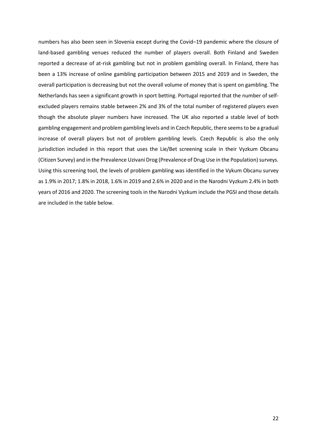numbers has also been seen in Slovenia except during the Covid–19 pandemic where the closure of land-based gambling venues reduced the number of players overall. Both Finland and Sweden reported a decrease of at-risk gambling but not in problem gambling overall. In Finland, there has been a 13% increase of online gambling participation between 2015 and 2019 and in Sweden, the overall participation is decreasing but not the overall volume of money that is spent on gambling. The Netherlands has seen a significant growth in sport betting. Portugal reported that the number of selfexcluded players remains stable between 2% and 3% of the total number of registered players even though the absolute player numbers have increased. The UK also reported a stable level of both gambling engagement and problem gambling levels and in Czech Republic, there seems to be a gradual increase of overall players but not of problem gambling levels. Czech Republic is also the only jurisdiction included in this report that uses the Lie/Bet screening scale in their Vyzkum Obcanu (Citizen Survey) and in the Prevalence Uzivani Drog (Prevalence of Drug Use in the Population) surveys. Using this screening tool, the levels of problem gambling was identified in the Vykum Obcanu survey as 1.9% in 2017; 1.8% in 2018, 1.6% in 2019 and 2.6% in 2020 and in the Narodni Vyzkum 2.4% in both years of 2016 and 2020. The screening tools in the Narodni Vyzkum include the PGSI and those details are included in the table below.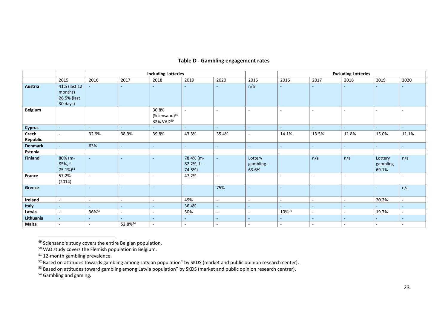# **Table D - Gambling engagement rates**

|                   |                                                    |                          |                | <b>Including Lotteries</b>                      |                                       |                          | <b>Excluding Lotteries</b>       |                          |                          |                          |                              |        |
|-------------------|----------------------------------------------------|--------------------------|----------------|-------------------------------------------------|---------------------------------------|--------------------------|----------------------------------|--------------------------|--------------------------|--------------------------|------------------------------|--------|
|                   | 2015                                               | 2016                     | 2017           | 2018                                            | 2019                                  | 2020                     | 2015                             | 2016                     | 2017                     | 2018                     | 2019                         | 2020   |
| Austria           | 41% (last 12<br>months)<br>26.5% (last<br>30 days) |                          |                |                                                 |                                       |                          | n/a                              |                          |                          |                          |                              |        |
| Belgium           |                                                    |                          |                | 30.8%<br>(Sciensano) <sup>49</sup><br>32% VAD50 |                                       |                          |                                  |                          | ٠                        | $\sim$                   | $\sim$                       |        |
| <b>Cyprus</b>     | $\sim$                                             | ÷.                       | $\sim$         | $\sim$                                          | $\sim$                                | $\sim$                   | $\sim$                           | ÷.                       | $\sim$                   | $\sim$                   | $\sim$                       | $\sim$ |
| Czech<br>Republic | $\sim$                                             | 32.9%                    | 38.9%          | 39.8%                                           | 43.3%                                 | 35.4%                    | $\overline{\phantom{a}}$         | 14.1%                    | 13.5%                    | 11.8%                    | 15.0%                        | 11.1%  |
| <b>Denmark</b>    | $\sim$                                             | 63%                      | $\blacksquare$ | $\sim$                                          | $\sim$                                | $\blacksquare$           | $\sim$                           | $\sim$                   | $\sim$                   | $\sim$                   | $\omega$                     | $\sim$ |
| Estonia           |                                                    |                          |                |                                                 |                                       |                          |                                  |                          |                          |                          |                              |        |
| <b>Finland</b>    | 80% (m-<br>85%, f-<br>75.1%) <sup>51</sup>         | $\sim$                   | $\sim$         |                                                 | 78.4% (m-<br>$82.2\%$ , f –<br>74.5%) | $\sim$                   | Lottery<br>$gambling -$<br>63.6% |                          | n/a                      | n/a                      | Lottery<br>gambling<br>69.1% | n/a    |
| France            | 57.2%<br>(2014)                                    | $\sim$                   | $\sim$         |                                                 | 47.2%                                 | $\overline{\phantom{a}}$ | $\overline{\phantom{a}}$         | ۰                        | ٠                        | $\overline{\phantom{a}}$ | $\overline{\phantom{a}}$     |        |
| Greece            | $\sim$                                             | $\sim$                   | $\sim$         | $\overline{\phantom{a}}$                        | $\blacksquare$                        | 75%                      | $\sim$                           | $\overline{\phantom{a}}$ | $\sim$                   | $\sim$                   | $\sim$                       | n/a    |
| Ireland           | $\sim$                                             | $\sim$                   | $\sim$         | $\sim$                                          | 49%                                   | $\sim$                   | $\sim$                           | $\sim$                   |                          | $\overline{\phantom{a}}$ | 20.2%                        |        |
| Italy             | $\sim$                                             | $\overline{\phantom{a}}$ | $\sim$         | $\sim$                                          | 36.4%                                 | $\sim$                   | $\sim$                           | $\overline{\phantom{a}}$ | $\sim$                   | $\overline{\phantom{a}}$ | $\sim$                       | $\sim$ |
| Latvia            | $\sim$                                             | 36%52                    | $\sim$         | $\overline{\phantom{a}}$                        | 50%                                   | $\overline{\phantom{a}}$ | $\sim$                           | 10%53                    | $\overline{\phantom{a}}$ | $\sim$                   | 19.7%                        |        |
| Lithuania         | $\equiv$                                           | ÷                        | $\sim$         | $\sim$                                          | ٠                                     | $\overline{\phantom{a}}$ | $\sim$                           | ٠.                       | $\sim$                   | $\overline{\phantom{a}}$ | $\sim$                       | ٠      |
| Malta             | $\sim$                                             | $\sim$                   | 52.8%54        | $\sim$                                          | $\overline{\phantom{a}}$              | $\overline{\phantom{a}}$ | $\sim$                           | $\overline{\phantom{a}}$ | $\sim$                   | $\overline{\phantom{a}}$ | $\sim$                       |        |

<sup>49</sup> Sciensano's study covers the entire Belgian population.

<sup>50</sup> VAD study covers the Flemish population in Belgium.

<sup>51</sup> 12-month gambling prevalence.

<sup>52</sup> Based on attitudes towards gambling among Latvian population" by SKDS (market and public opinion research center).

<sup>53</sup> Based on attitudes toward gambling among Latvia population" by SKDS (market and public opinion research centrer).

<sup>54</sup> Gambling and gaming.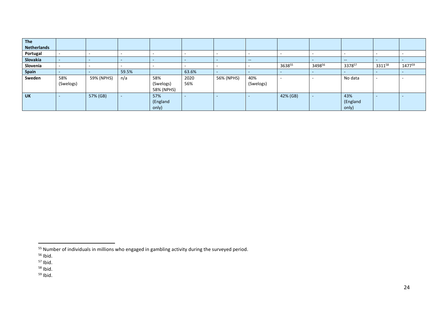| The                |                          |                          |                          |            |       |            |                          |          |        |          |        |        |
|--------------------|--------------------------|--------------------------|--------------------------|------------|-------|------------|--------------------------|----------|--------|----------|--------|--------|
| <b>Netherlands</b> |                          |                          |                          |            |       |            |                          |          |        |          |        |        |
| Portugal           | $\overline{\phantom{0}}$ | $\overline{\phantom{a}}$ |                          |            |       |            |                          |          |        |          |        |        |
| Slovakia           | $\sim$                   | $\overline{\phantom{0}}$ |                          |            |       |            | $\sim$                   |          |        | $\sim$   |        |        |
| Slovenia           |                          | $\sim$                   | $\overline{\phantom{a}}$ |            |       |            |                          | 363855   | 349856 | 337857   | 331158 | 147759 |
| <b>Spain</b>       | $\overline{\phantom{0}}$ |                          | 59.5%                    |            | 63.6% | . .        | -                        |          |        |          |        |        |
| Sweden             | 58%                      | 59% (NPHS)               | n/a                      | 58%        | 2020  | 56% (NPHS) | 40%                      | -        |        | No data  |        |        |
|                    | (Swelogs)                |                          |                          | (Swelogs)  | 56%   |            | (Swelogs)                |          |        |          |        |        |
|                    |                          |                          |                          | 58% (NPHS) |       |            |                          |          |        |          |        |        |
| <b>UK</b>          | $\overline{\phantom{a}}$ | 57% (GB)                 | $\overline{\phantom{0}}$ | 57%        |       |            | $\overline{\phantom{a}}$ | 42% (GB) |        | 43%      |        |        |
|                    |                          |                          |                          | (England   |       |            |                          |          |        | (England |        |        |
|                    |                          |                          |                          | only)      |       |            |                          |          |        | only)    |        |        |

<sup>55</sup> Number of individuals in millions who engaged in gambling activity during the surveyed period.

<sup>&</sup>lt;sup>56</sup> Ibid.

 $57$  Ibid.

<sup>&</sup>lt;sup>58</sup> Ibid.

 $59$  Ibid.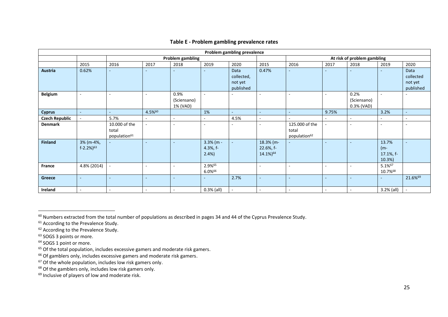| Problem gambling prevalence |                                       |                                                    |                          |                                 |                                 |                                            |                                                |                                                     |                          |                                   |                                        |                                           |  |
|-----------------------------|---------------------------------------|----------------------------------------------------|--------------------------|---------------------------------|---------------------------------|--------------------------------------------|------------------------------------------------|-----------------------------------------------------|--------------------------|-----------------------------------|----------------------------------------|-------------------------------------------|--|
|                             |                                       | <b>Problem gambling</b>                            |                          |                                 |                                 |                                            |                                                | At risk of problem gambling                         |                          |                                   |                                        |                                           |  |
|                             | 2015                                  | 2016                                               | 2017                     | 2018                            | 2019                            | 2020                                       | 2015                                           | 2016                                                | 2017                     | 2018                              | 2019                                   | 2020                                      |  |
| <b>Austria</b>              | 0.62%                                 |                                                    |                          |                                 |                                 | Data<br>collected,<br>not yet<br>published | 0.47%                                          | ۰                                                   |                          |                                   | ۰                                      | Data<br>collected<br>not yet<br>published |  |
| Belgium                     |                                       |                                                    |                          | 0.9%<br>(Sciensano)<br>1% (VAD) | $\overline{\phantom{a}}$        |                                            |                                                |                                                     |                          | 0.2%<br>(Sciensano)<br>0.3% (VAD) | ٠                                      |                                           |  |
| <b>Cyprus</b>               | ٠                                     | ٠                                                  | 4.5%60                   |                                 | 1%                              | $\overline{\phantom{a}}$                   | $\sim$                                         | $\sim$                                              | 9.75%                    |                                   | 3.2%                                   | $\blacksquare$                            |  |
| <b>Czech Republic</b>       |                                       | 5.7%                                               | ٠                        | $\overline{\phantom{a}}$        | $\overline{\phantom{a}}$        | 4.5%                                       | $\overline{\phantom{a}}$                       | $\overline{\phantom{a}}$                            | $\sim$                   |                                   | $\overline{\phantom{a}}$               | $\blacksquare$                            |  |
| <b>Denmark</b>              |                                       | 10.000 of the<br>total<br>population <sup>61</sup> |                          | $\overline{\phantom{a}}$        | $\overline{\phantom{a}}$        |                                            | ۰                                              | 125.000 of the<br>total<br>population <sup>62</sup> |                          |                                   | ٠                                      | $\overline{\phantom{a}}$                  |  |
| <b>Finland</b>              | 3% (m-4%,<br>$f - 2.2%$ <sup>63</sup> |                                                    | $\sim$                   | $\sim$                          | $3.3%$ (m -<br>4.3%, f-<br>2.4% | $\sim$                                     | 18.3% (m-<br>22.6%, f-<br>14.1%) <sup>64</sup> | ÷.                                                  | $\sim$                   | $\overline{a}$                    | 13.7%<br>$(m -$<br>17.1%, f-<br>10.3%) | $\blacksquare$                            |  |
| France                      | 4.8% (2014)                           |                                                    | $\overline{\phantom{a}}$ | $\sim$                          | 2.9%65<br>6.0%66                |                                            | ٠                                              |                                                     |                          |                                   | 5.1%67<br>10.7%68                      |                                           |  |
| Greece                      |                                       |                                                    | ٠                        | ٠                               |                                 | 2.7%                                       | ٠                                              | ۰                                                   | $\overline{\phantom{a}}$ |                                   | ٠                                      | 21.6%69                                   |  |
| Ireland                     | $\overline{a}$                        | $\sim$                                             | $\overline{a}$           | $\overline{\phantom{a}}$        | $0.3%$ (all)                    | $\sim$                                     | $\sim$                                         | $\overline{\phantom{a}}$                            | $\overline{\phantom{a}}$ |                                   | 3.2% (all)                             | $\sim$                                    |  |

# **Table E - Problem gambling prevalence rates**

 $60$  Numbers extracted from the total number of populations as described in pages 34 and 44 of the Cyprus Prevalence Study.

<sup>&</sup>lt;sup>61</sup> According to the Prevalence Study.

 $62$  According to the Prevalence Study.

<sup>&</sup>lt;sup>63</sup> SOGS 3 points or more.

<sup>&</sup>lt;sup>64</sup> SOGS 1 point or more.

 $65$  Of the total population, includes excessive gamers and moderate risk gamers.

<sup>&</sup>lt;sup>66</sup> Of gamblers only, includes excessive gamers and moderate risk gamers.

 $67$  Of the whole population, includes low risk gamers only.

 $68$  Of the gamblers only, includes low risk gamers only.

<sup>&</sup>lt;sup>69</sup> Inclusive of players of low and moderate risk.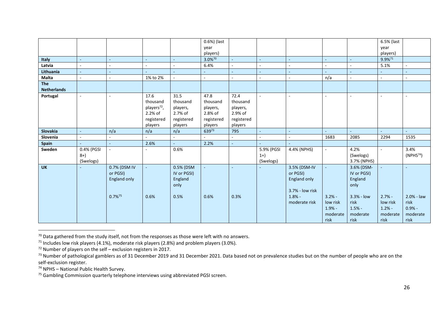|                    |                          |                       |                         |                  | 0.6%) (last      |                  |                          |                          |                          |             | 6.5% (last |                          |
|--------------------|--------------------------|-----------------------|-------------------------|------------------|------------------|------------------|--------------------------|--------------------------|--------------------------|-------------|------------|--------------------------|
|                    |                          |                       |                         |                  | year             |                  |                          |                          |                          |             | year       |                          |
|                    |                          |                       |                         |                  | players)         |                  |                          |                          |                          |             | players)   |                          |
| <b>Italy</b>       | ä,                       |                       | $\bar{a}$               | $\blacksquare$   | 3.0%70           | ÷                | $\omega$                 | $\sim$                   | $\blacksquare$           | ÷.          | 9.9%71     |                          |
| Latvia             |                          |                       | ٠                       |                  | 6.4%             |                  | $\overline{\phantom{a}}$ |                          |                          | ÷.          | 5.1%       | $\sim$                   |
| Lithuania          | ٠                        |                       | ÷.                      |                  |                  | ÷.               | $\overline{a}$           |                          | ÷.                       | ÷.          | ÷.         | $\omega$                 |
| Malta              | ä,                       |                       | 1% to 2%                | ä,               |                  | $\sim$           | $\sim$                   | $\overline{\phantom{a}}$ | n/a                      | $\sim$      | $\sim$     | $\mathbf{r}$             |
| The                |                          |                       |                         |                  |                  |                  |                          |                          |                          |             |            |                          |
| <b>Netherlands</b> |                          |                       |                         |                  |                  |                  |                          |                          |                          |             |            |                          |
| Portugal           | $\overline{\phantom{a}}$ |                       | 17.6<br>thousand        | 31.5<br>thousand | 47.8<br>thousand | 72.4<br>thousand | $\sim$                   | $\overline{\phantom{a}}$ |                          | $\sim$      |            | $\overline{\phantom{a}}$ |
|                    |                          |                       | players <sup>72</sup> , | players,         | players,         | players,         |                          |                          |                          |             |            |                          |
|                    |                          |                       | $2.2%$ of               | 2.7% of          | 2.8% of          | 2.9% of          |                          |                          |                          |             |            |                          |
|                    |                          |                       | registered              | registered       | registered       | registered       |                          |                          |                          |             |            |                          |
|                    |                          |                       | players                 | players          | players          | players          |                          |                          |                          |             |            |                          |
| Slovakia           | ٠                        | n/a                   | n/a                     | n/a              | 63973            | 795              | $\equiv$                 | $\sim$                   | ÷.                       | u.          | ÷.         | ÷.                       |
| Slovenia           |                          |                       |                         |                  |                  | $\sim$           | $\overline{\phantom{a}}$ |                          | 1683                     | 2085        | 2294       | 1535                     |
| Spain              |                          |                       | 2.6%                    | ä,               | 2.2%             | ÷                | ÷.                       |                          |                          |             |            |                          |
| Sweden             | 0.4% (PGSI               |                       | $\qquad \qquad -$       | 0.6%             |                  |                  | 5.9% (PGSI               | 4.4% (NPHS)              | $\overline{\phantom{a}}$ | 4.2%        |            | 3.4%                     |
|                    | $8+$                     |                       |                         |                  |                  |                  | $1+)$                    |                          |                          | (Swelogs)   |            | (NPHS <sup>74</sup> )    |
|                    | (Swelogs)                |                       |                         |                  |                  |                  | (Swelogs)                |                          |                          | 3.7% (NPHS) |            |                          |
| <b>UK</b>          |                          | 0.7% (DSM IV          |                         | 0.5% (DSM        |                  |                  |                          | 3.5% (DSM-IV             |                          | 3.6% (DSM-  |            |                          |
|                    |                          | or PGSI)              |                         | IV or PGSI)      |                  |                  |                          | or PGSI)                 |                          | IV or PGSI) |            |                          |
|                    |                          | England only          |                         | England          |                  |                  |                          | England only             |                          | England     |            |                          |
|                    |                          |                       |                         | only             |                  |                  |                          |                          |                          | only        |            |                          |
|                    |                          |                       |                         |                  |                  |                  |                          | 3.7% - low risk          |                          |             |            |                          |
|                    |                          | $0.7\%$ <sup>75</sup> | 0.6%                    | 0.5%             | 0.6%             | 0.3%             |                          | $1.8% -$                 | $3.2% -$                 | 3.3% - low  | $2.7% -$   | 2.0% - law               |
|                    |                          |                       |                         |                  |                  |                  |                          | moderate risk            | low risk                 | risk        | low risk   | risk                     |
|                    |                          |                       |                         |                  |                  |                  |                          |                          | $1.9% -$                 | $1.5% -$    | $1.2% -$   | $0.9% -$                 |
|                    |                          |                       |                         |                  |                  |                  |                          |                          | moderate                 | moderate    | moderate   | moderate                 |
|                    |                          |                       |                         |                  |                  |                  |                          |                          | risk                     | risk        | risk       | risk                     |

 $70$  Data gathered from the study itself, not from the responses as those were left with no answers.

<sup>&</sup>lt;sup>71</sup> Includes low risk players (4.1%), moderate risk players (2.8%) and problem players (3.0%).

 $72$  Number of players on the self – exclusion registers in 2017.

<sup>&</sup>lt;sup>73</sup> Number of pathological gamblers as of 31 December 2019 and 31 December 2021. Data based not on prevalence studies but on the number of people who are on the self-exclusion register.

 $74$  NPHS – National Public Health Survey.

<sup>&</sup>lt;sup>75</sup> Gambling Commission quarterly telephone interviews using abbreviated PGSI screen.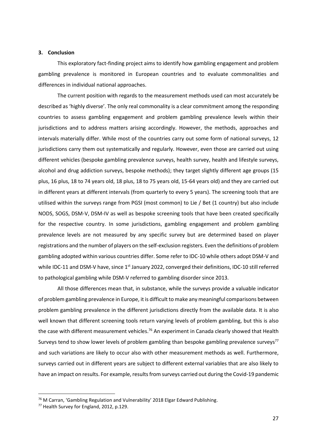#### **3. Conclusion**

This exploratory fact-finding project aims to identify how gambling engagement and problem gambling prevalence is monitored in European countries and to evaluate commonalities and differences in individual national approaches.

The current position with regards to the measurement methods used can most accurately be described as 'highly diverse'. The only real commonality is a clear commitment among the responding countries to assess gambling engagement and problem gambling prevalence levels within their jurisdictions and to address matters arising accordingly. However, the methods, approaches and intervals materially differ. While most of the countries carry out some form of national surveys, 12 jurisdictions carry them out systematically and regularly. However, even those are carried out using different vehicles (bespoke gambling prevalence surveys, health survey, health and lifestyle surveys, alcohol and drug addiction surveys, bespoke methods); they target slightly different age groups (15 plus, 16 plus, 18 to 74 years old, 18 plus, 18 to 75 years old, 15-64 years old) and they are carried out in different years at different intervals (from quarterly to every 5 years). The screening tools that are utilised within the surveys range from PGSI (most common) to Lie / Bet (1 country) but also include NODS, SOGS, DSM-V, DSM-IV as well as bespoke screening tools that have been created specifically for the respective country. In some jurisdictions, gambling engagement and problem gambling prevalence levels are not measured by any specific survey but are determined based on player registrations and the number of players on the self-exclusion registers. Even the definitions of problem gambling adopted within various countries differ. Some refer to IDC-10 while others adopt DSM-V and while IDC-11 and DSM-V have, since  $1<sup>st</sup>$  January 2022, converged their definitions, IDC-10 still referred to pathological gambling while DSM-V referred to gambling disorder since 2013.

All those differences mean that, in substance, while the surveys provide a valuable indicator of problem gambling prevalence in Europe, it is difficult to make any meaningful comparisons between problem gambling prevalence in the different jurisdictions directly from the available data. It is also well known that different screening tools return varying levels of problem gambling, but this is also the case with different measurement vehicles.<sup>76</sup> An experiment in Canada clearly showed that Health Surveys tend to show lower levels of problem gambling than bespoke gambling prevalence surveys $77$ and such variations are likely to occur also with other measurement methods as well. Furthermore, surveys carried out in different years are subject to different external variables that are also likely to have an impact on results. For example, results from surveys carried out during the Covid-19 pandemic

<sup>76</sup> M Carran, 'Gambling Regulation and Vulnerability' 2018 Elgar Edward Publishing.

<sup>77</sup> Health Survey for England, 2012, p.129.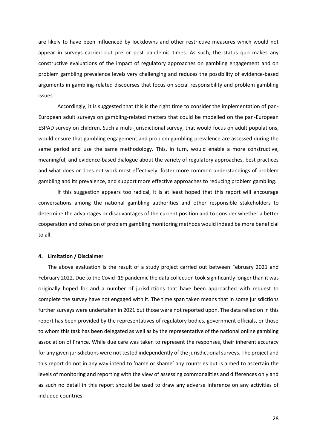are likely to have been influenced by lockdowns and other restrictive measures which would not appear in surveys carried out pre or post pandemic times. As such, the status quo makes any constructive evaluations of the impact of regulatory approaches on gambling engagement and on problem gambling prevalence levels very challenging and reduces the possibility of evidence-based arguments in gambling-related discourses that focus on social responsibility and problem gambling issues.

Accordingly, it is suggested that this is the right time to consider the implementation of pan-European adult surveys on gambling-related matters that could be modelled on the pan-European ESPAD survey on children. Such a multi-jurisdictional survey, that would focus on adult populations, would ensure that gambling engagement and problem gambling prevalence are assessed during the same period and use the same methodology. This, in turn, would enable a more constructive, meaningful, and evidence-based dialogue about the variety of regulatory approaches, best practices and what does or does not work most effectively, foster more common understandings of problem gambling and its prevalence, and support more effective approaches to reducing problem gambling.

If this suggestion appears too radical, it is at least hoped that this report will encourage conversations among the national gambling authorities and other responsible stakeholders to determine the advantages or disadvantages of the current position and to consider whether a better cooperation and cohesion of problem gambling monitoring methods would indeed be more beneficial to all.

#### **4. Limitation / Disclaimer**

The above evaluation is the result of a study project carried out between February 2021 and February 2022. Due to the Covid–19 pandemic the data collection took significantly longer than it was originally hoped for and a number of jurisdictions that have been approached with request to complete the survey have not engaged with it. The time span taken means that in some jurisdictions further surveys were undertaken in 2021 but those were not reported upon. The data relied on in this report has been provided by the representatives of regulatory bodies, government officials, or those to whom this task has been delegated as well as by the representative of the national online gambling association of France. While due care was taken to represent the responses, their inherent accuracy for any given jurisdictions were not tested independently of the jurisdictional surveys. The project and this report do not in any way intend to 'name or shame' any countries but is aimed to ascertain the levels of monitoring and reporting with the view of assessing commonalities and differences only and as such no detail in this report should be used to draw any adverse inference on any activities of included countries.